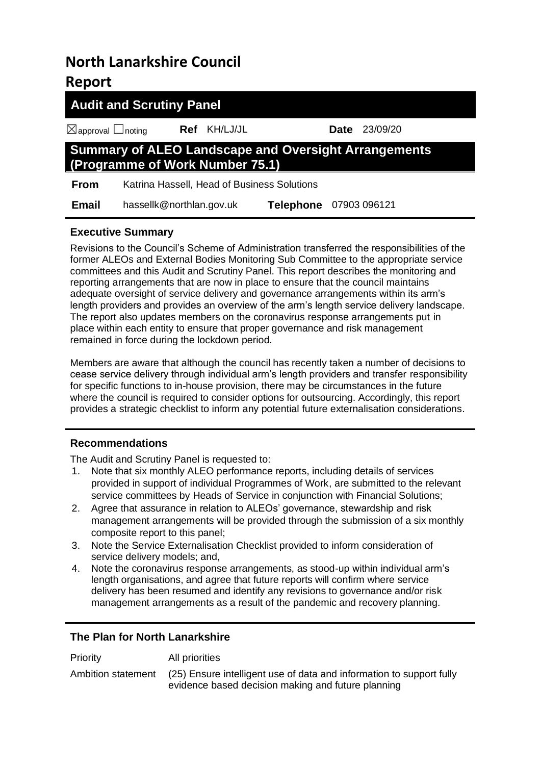# **North Lanarkshire Council Report**

| <b>Audit and Scrutiny Panel</b>                                                                |                                             |                        |  |                      |  |
|------------------------------------------------------------------------------------------------|---------------------------------------------|------------------------|--|----------------------|--|
| $\boxtimes$ approval $\Box$ noting                                                             | Ref KH/LJ/JL                                |                        |  | <b>Date</b> 23/09/20 |  |
| <b>Summary of ALEO Landscape and Oversight Arrangements</b><br>(Programme of Work Number 75.1) |                                             |                        |  |                      |  |
| <b>From</b>                                                                                    | Katrina Hassell, Head of Business Solutions |                        |  |                      |  |
| <b>Email</b>                                                                                   | hassellk@northlan.gov.uk                    | Telephone 07903 096121 |  |                      |  |

# **Executive Summary**

Revisions to the Council's Scheme of Administration transferred the responsibilities of the former ALEOs and External Bodies Monitoring Sub Committee to the appropriate service committees and this Audit and Scrutiny Panel. This report describes the monitoring and reporting arrangements that are now in place to ensure that the council maintains adequate oversight of service delivery and governance arrangements within its arm's length providers and provides an overview of the arm's length service delivery landscape. The report also updates members on the coronavirus response arrangements put in place within each entity to ensure that proper governance and risk management remained in force during the lockdown period.

Members are aware that although the council has recently taken a number of decisions to cease service delivery through individual arm's length providers and transfer responsibility for specific functions to in-house provision, there may be circumstances in the future where the council is required to consider options for outsourcing. Accordingly, this report provides a strategic checklist to inform any potential future externalisation considerations.

# **Recommendations**

The Audit and Scrutiny Panel is requested to:

- 1. Note that six monthly ALEO performance reports, including details of services provided in support of individual Programmes of Work, are submitted to the relevant service committees by Heads of Service in conjunction with Financial Solutions;
- 2. Agree that assurance in relation to ALEOs' governance, stewardship and risk management arrangements will be provided through the submission of a six monthly composite report to this panel;
- 3. Note the Service Externalisation Checklist provided to inform consideration of service delivery models; and,
- 4. Note the coronavirus response arrangements, as stood-up within individual arm's length organisations, and agree that future reports will confirm where service delivery has been resumed and identify any revisions to governance and/or risk management arrangements as a result of the pandemic and recovery planning.

# **The Plan for North Lanarkshire**

| Priority           | All priorities                                                                                                             |
|--------------------|----------------------------------------------------------------------------------------------------------------------------|
| Ambition statement | (25) Ensure intelligent use of data and information to support fully<br>evidence based decision making and future planning |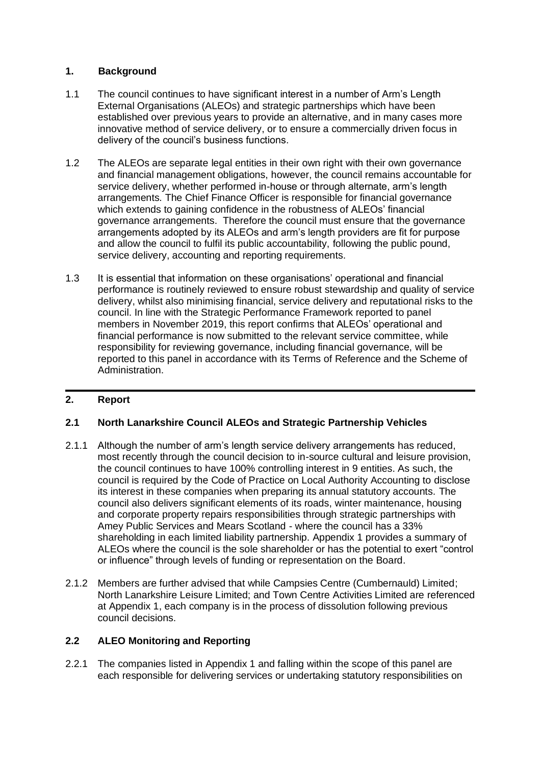# **1. Background**

- 1.1 The council continues to have significant interest in a number of Arm's Length External Organisations (ALEOs) and strategic partnerships which have been established over previous years to provide an alternative, and in many cases more innovative method of service delivery, or to ensure a commercially driven focus in delivery of the council's business functions.
- 1.2 The ALEOs are separate legal entities in their own right with their own governance and financial management obligations, however, the council remains accountable for service delivery, whether performed in-house or through alternate, arm's length arrangements. The Chief Finance Officer is responsible for financial governance which extends to gaining confidence in the robustness of ALEOs' financial governance arrangements. Therefore the council must ensure that the governance arrangements adopted by its ALEOs and arm's length providers are fit for purpose and allow the council to fulfil its public accountability, following the public pound, service delivery, accounting and reporting requirements.
- 1.3 It is essential that information on these organisations' operational and financial performance is routinely reviewed to ensure robust stewardship and quality of service delivery, whilst also minimising financial, service delivery and reputational risks to the council. In line with the Strategic Performance Framework reported to panel members in November 2019, this report confirms that ALEOs' operational and financial performance is now submitted to the relevant service committee, while responsibility for reviewing governance, including financial governance, will be reported to this panel in accordance with its Terms of Reference and the Scheme of Administration.

# **2. Report**

### **2.1 North Lanarkshire Council ALEOs and Strategic Partnership Vehicles**

- 2.1.1 Although the number of arm's length service delivery arrangements has reduced, most recently through the council decision to in-source cultural and leisure provision, the council continues to have 100% controlling interest in 9 entities. As such, the council is required by the Code of Practice on Local Authority Accounting to disclose its interest in these companies when preparing its annual statutory accounts. The council also delivers significant elements of its roads, winter maintenance, housing and corporate property repairs responsibilities through strategic partnerships with Amey Public Services and Mears Scotland - where the council has a 33% shareholding in each limited liability partnership. Appendix 1 provides a summary of ALEOs where the council is the sole shareholder or has the potential to exert "control or influence" through levels of funding or representation on the Board.
- 2.1.2 Members are further advised that while Campsies Centre (Cumbernauld) Limited; North Lanarkshire Leisure Limited; and Town Centre Activities Limited are referenced at Appendix 1, each company is in the process of dissolution following previous council decisions.

### **2.2 ALEO Monitoring and Reporting**

2.2.1 The companies listed in Appendix 1 and falling within the scope of this panel are each responsible for delivering services or undertaking statutory responsibilities on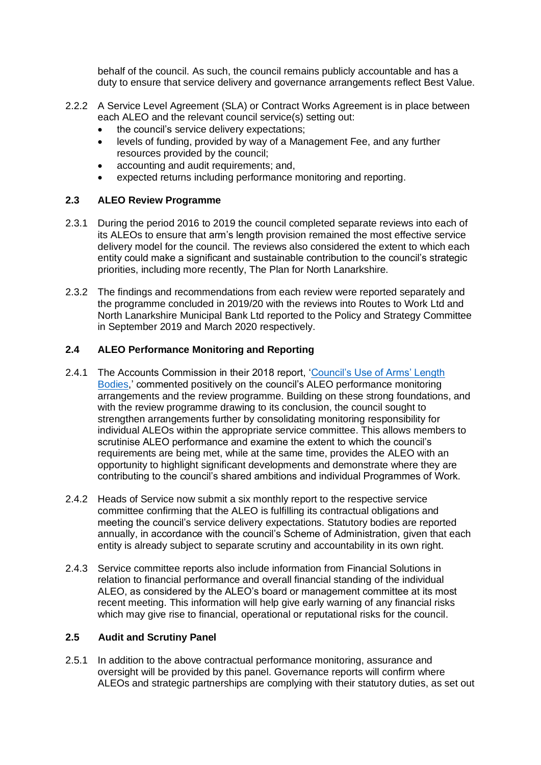behalf of the council. As such, the council remains publicly accountable and has a duty to ensure that service delivery and governance arrangements reflect Best Value.

- 2.2.2 A Service Level Agreement (SLA) or Contract Works Agreement is in place between each ALEO and the relevant council service(s) setting out:
	- the council's service delivery expectations;
	- levels of funding, provided by way of a Management Fee, and any further resources provided by the council;
	- accounting and audit requirements; and,
	- expected returns including performance monitoring and reporting.

### **2.3 ALEO Review Programme**

- 2.3.1 During the period 2016 to 2019 the council completed separate reviews into each of its ALEOs to ensure that arm's length provision remained the most effective service delivery model for the council. The reviews also considered the extent to which each entity could make a significant and sustainable contribution to the council's strategic priorities, including more recently, The Plan for North Lanarkshire.
- 2.3.2 The findings and recommendations from each review were reported separately and the programme concluded in 2019/20 with the reviews into Routes to Work Ltd and North Lanarkshire Municipal Bank Ltd reported to the Policy and Strategy Committee in September 2019 and March 2020 respectively.

### **2.4 ALEO Performance Monitoring and Reporting**

- 2.4.1 The Accounts Commission in their 2018 report, 'Council's Use of Arms' Length [Bodies,](https://www.audit-scotland.gov.uk/uploads/docs/report/2018/nr_180518_councils_aleos.pdf)' commented positively on the council's ALEO performance monitoring arrangements and the review programme. Building on these strong foundations, and with the review programme drawing to its conclusion, the council sought to strengthen arrangements further by consolidating monitoring responsibility for individual ALEOs within the appropriate service committee. This allows members to scrutinise ALEO performance and examine the extent to which the council's requirements are being met, while at the same time, provides the ALEO with an opportunity to highlight significant developments and demonstrate where they are contributing to the council's shared ambitions and individual Programmes of Work.
- 2.4.2 Heads of Service now submit a six monthly report to the respective service committee confirming that the ALEO is fulfilling its contractual obligations and meeting the council's service delivery expectations. Statutory bodies are reported annually, in accordance with the council's Scheme of Administration, given that each entity is already subject to separate scrutiny and accountability in its own right.
- 2.4.3 Service committee reports also include information from Financial Solutions in relation to financial performance and overall financial standing of the individual ALEO, as considered by the ALEO's board or management committee at its most recent meeting. This information will help give early warning of any financial risks which may give rise to financial, operational or reputational risks for the council.

#### **2.5 Audit and Scrutiny Panel**

2.5.1 In addition to the above contractual performance monitoring, assurance and oversight will be provided by this panel. Governance reports will confirm where ALEOs and strategic partnerships are complying with their statutory duties, as set out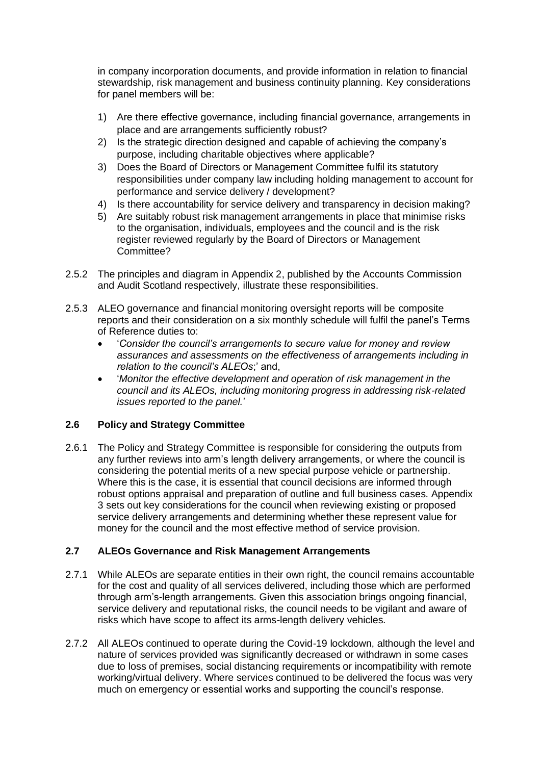in company incorporation documents, and provide information in relation to financial stewardship, risk management and business continuity planning. Key considerations for panel members will be:

- 1) Are there effective governance, including financial governance, arrangements in place and are arrangements sufficiently robust?
- 2) Is the strategic direction designed and capable of achieving the company's purpose, including charitable objectives where applicable?
- 3) Does the Board of Directors or Management Committee fulfil its statutory responsibilities under company law including holding management to account for performance and service delivery / development?
- 4) Is there accountability for service delivery and transparency in decision making?
- 5) Are suitably robust risk management arrangements in place that minimise risks to the organisation, individuals, employees and the council and is the risk register reviewed regularly by the Board of Directors or Management Committee?
- 2.5.2 The principles and diagram in Appendix 2, published by the Accounts Commission and Audit Scotland respectively, illustrate these responsibilities.
- 2.5.3 ALEO governance and financial monitoring oversight reports will be composite reports and their consideration on a six monthly schedule will fulfil the panel's Terms of Reference duties to:
	- '*Consider the council's arrangements to secure value for money and review assurances and assessments on the effectiveness of arrangements including in relation to the council's ALEOs*;' and,
	- '*Monitor the effective development and operation of risk management in the council and its ALEOs, including monitoring progress in addressing risk-related issues reported to the panel.*'

# **2.6 Policy and Strategy Committee**

2.6.1 The Policy and Strategy Committee is responsible for considering the outputs from any further reviews into arm's length delivery arrangements, or where the council is considering the potential merits of a new special purpose vehicle or partnership. Where this is the case, it is essential that council decisions are informed through robust options appraisal and preparation of outline and full business cases. Appendix 3 sets out key considerations for the council when reviewing existing or proposed service delivery arrangements and determining whether these represent value for money for the council and the most effective method of service provision.

### **2.7 ALEOs Governance and Risk Management Arrangements**

- 2.7.1 While ALEOs are separate entities in their own right, the council remains accountable for the cost and quality of all services delivered, including those which are performed through arm's-length arrangements. Given this association brings ongoing financial, service delivery and reputational risks, the council needs to be vigilant and aware of risks which have scope to affect its arms-length delivery vehicles.
- 2.7.2 All ALEOs continued to operate during the Covid-19 lockdown, although the level and nature of services provided was significantly decreased or withdrawn in some cases due to loss of premises, social distancing requirements or incompatibility with remote working/virtual delivery. Where services continued to be delivered the focus was very much on emergency or essential works and supporting the council's response.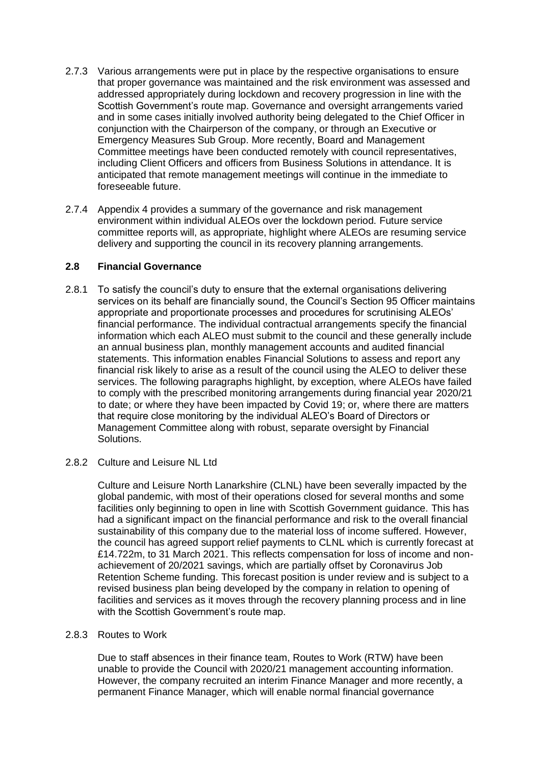- 2.7.3 Various arrangements were put in place by the respective organisations to ensure that proper governance was maintained and the risk environment was assessed and addressed appropriately during lockdown and recovery progression in line with the Scottish Government's route map. Governance and oversight arrangements varied and in some cases initially involved authority being delegated to the Chief Officer in conjunction with the Chairperson of the company, or through an Executive or Emergency Measures Sub Group. More recently, Board and Management Committee meetings have been conducted remotely with council representatives, including Client Officers and officers from Business Solutions in attendance. It is anticipated that remote management meetings will continue in the immediate to foreseeable future.
- 2.7.4 Appendix 4 provides a summary of the governance and risk management environment within individual ALEOs over the lockdown period. Future service committee reports will, as appropriate, highlight where ALEOs are resuming service delivery and supporting the council in its recovery planning arrangements.

### **2.8 Financial Governance**

2.8.1 To satisfy the council's duty to ensure that the external organisations delivering services on its behalf are financially sound, the Council's Section 95 Officer maintains appropriate and proportionate processes and procedures for scrutinising ALEOs' financial performance. The individual contractual arrangements specify the financial information which each ALEO must submit to the council and these generally include an annual business plan, monthly management accounts and audited financial statements. This information enables Financial Solutions to assess and report any financial risk likely to arise as a result of the council using the ALEO to deliver these services. The following paragraphs highlight, by exception, where ALEOs have failed to comply with the prescribed monitoring arrangements during financial year 2020/21 to date; or where they have been impacted by Covid 19; or, where there are matters that require close monitoring by the individual ALEO's Board of Directors or Management Committee along with robust, separate oversight by Financial Solutions.

### 2.8.2 Culture and Leisure NL Ltd

Culture and Leisure North Lanarkshire (CLNL) have been severally impacted by the global pandemic, with most of their operations closed for several months and some facilities only beginning to open in line with Scottish Government guidance. This has had a significant impact on the financial performance and risk to the overall financial sustainability of this company due to the material loss of income suffered. However, the council has agreed support relief payments to CLNL which is currently forecast at £14.722m, to 31 March 2021. This reflects compensation for loss of income and nonachievement of 20/2021 savings, which are partially offset by Coronavirus Job Retention Scheme funding. This forecast position is under review and is subject to a revised business plan being developed by the company in relation to opening of facilities and services as it moves through the recovery planning process and in line with the Scottish Government's route map.

#### 2.8.3 Routes to Work

Due to staff absences in their finance team, Routes to Work (RTW) have been unable to provide the Council with 2020/21 management accounting information. However, the company recruited an interim Finance Manager and more recently, a permanent Finance Manager, which will enable normal financial governance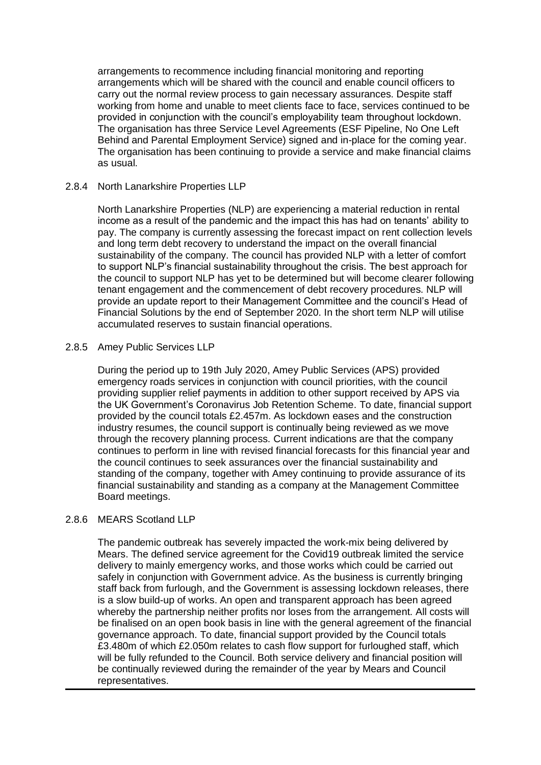arrangements to recommence including financial monitoring and reporting arrangements which will be shared with the council and enable council officers to carry out the normal review process to gain necessary assurances. Despite staff working from home and unable to meet clients face to face, services continued to be provided in conjunction with the council's employability team throughout lockdown. The organisation has three Service Level Agreements (ESF Pipeline, No One Left Behind and Parental Employment Service) signed and in-place for the coming year. The organisation has been continuing to provide a service and make financial claims as usual.

#### 2.8.4 North Lanarkshire Properties LLP

North Lanarkshire Properties (NLP) are experiencing a material reduction in rental income as a result of the pandemic and the impact this has had on tenants' ability to pay. The company is currently assessing the forecast impact on rent collection levels and long term debt recovery to understand the impact on the overall financial sustainability of the company. The council has provided NLP with a letter of comfort to support NLP's financial sustainability throughout the crisis. The best approach for the council to support NLP has yet to be determined but will become clearer following tenant engagement and the commencement of debt recovery procedures. NLP will provide an update report to their Management Committee and the council's Head of Financial Solutions by the end of September 2020. In the short term NLP will utilise accumulated reserves to sustain financial operations.

### 2.8.5 Amey Public Services LLP

During the period up to 19th July 2020, Amey Public Services (APS) provided emergency roads services in conjunction with council priorities, with the council providing supplier relief payments in addition to other support received by APS via the UK Government's Coronavirus Job Retention Scheme. To date, financial support provided by the council totals £2.457m. As lockdown eases and the construction industry resumes, the council support is continually being reviewed as we move through the recovery planning process. Current indications are that the company continues to perform in line with revised financial forecasts for this financial year and the council continues to seek assurances over the financial sustainability and standing of the company, together with Amey continuing to provide assurance of its financial sustainability and standing as a company at the Management Committee Board meetings.

#### 2.8.6 MEARS Scotland LLP

The pandemic outbreak has severely impacted the work-mix being delivered by Mears. The defined service agreement for the Covid19 outbreak limited the service delivery to mainly emergency works, and those works which could be carried out safely in conjunction with Government advice. As the business is currently bringing staff back from furlough, and the Government is assessing lockdown releases, there is a slow build-up of works. An open and transparent approach has been agreed whereby the partnership neither profits nor loses from the arrangement. All costs will be finalised on an open book basis in line with the general agreement of the financial governance approach. To date, financial support provided by the Council totals £3.480m of which £2.050m relates to cash flow support for furloughed staff, which will be fully refunded to the Council. Both service delivery and financial position will be continually reviewed during the remainder of the year by Mears and Council representatives.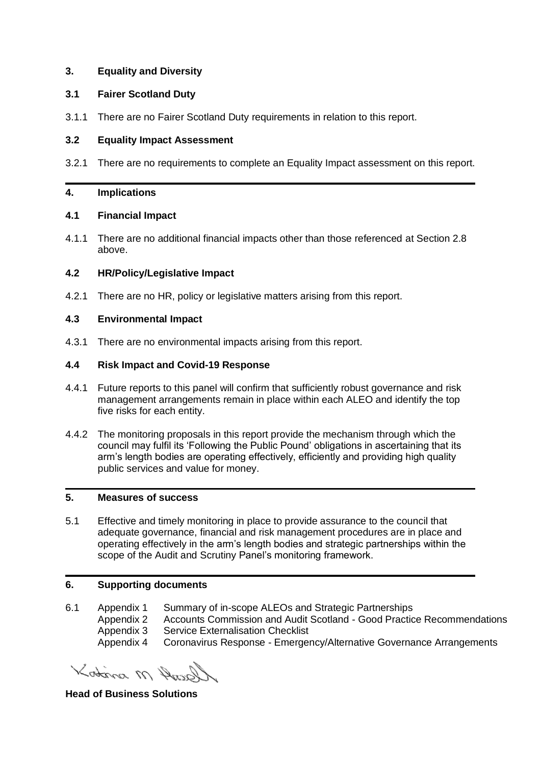### **3. Equality and Diversity**

### **3.1 Fairer Scotland Duty**

3.1.1 There are no Fairer Scotland Duty requirements in relation to this report.

### **3.2 Equality Impact Assessment**

3.2.1 There are no requirements to complete an Equality Impact assessment on this report.

### **4. Implications**

### **4.1 Financial Impact**

4.1.1 There are no additional financial impacts other than those referenced at Section 2.8 above.

# **4.2 HR/Policy/Legislative Impact**

4.2.1 There are no HR, policy or legislative matters arising from this report.

### **4.3 Environmental Impact**

4.3.1 There are no environmental impacts arising from this report.

# **4.4 Risk Impact and Covid-19 Response**

- 4.4.1 Future reports to this panel will confirm that sufficiently robust governance and risk management arrangements remain in place within each ALEO and identify the top five risks for each entity.
- 4.4.2 The monitoring proposals in this report provide the mechanism through which the council may fulfil its 'Following the Public Pound' obligations in ascertaining that its arm's length bodies are operating effectively, efficiently and providing high quality public services and value for money.

### **5. Measures of success**

5.1 Effective and timely monitoring in place to provide assurance to the council that adequate governance, financial and risk management procedures are in place and operating effectively in the arm's length bodies and strategic partnerships within the scope of the Audit and Scrutiny Panel's monitoring framework.

### **6. Supporting documents**

- 6.1 Appendix 1 Summary of in-scope ALEOs and Strategic Partnerships
	- Appendix 2 Accounts Commission and Audit Scotland Good Practice Recommendations Appendix 3 Service Externalisation Checklist
	- Appendix 4 Coronavirus Response Emergency/Alternative Governance Arrangements

Kotina M Angol

**Head of Business Solutions**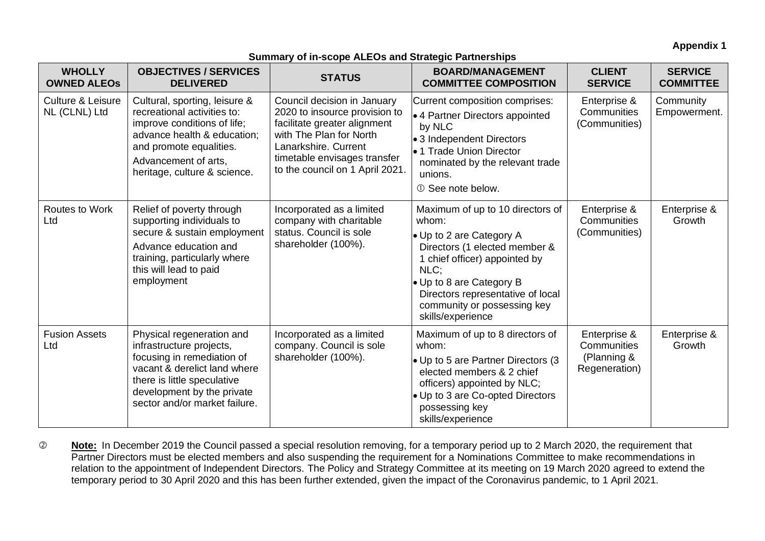**Appendix 1**

### **Summary of in-scope ALEOs and Strategic Partnerships**

| <b>WHOLLY</b><br><b>OWNED ALEOS</b>           | <b>OBJECTIVES / SERVICES</b><br><b>DELIVERED</b>                                                                                                                                                                  | <b>STATUS</b>                                                                                                                                                                                                      | <b>BOARD/MANAGEMENT</b><br><b>COMMITTEE COMPOSITION</b>                                                                                                                                                                                                              | <b>CLIENT</b><br><b>SERVICE</b>                             | <b>SERVICE</b><br><b>COMMITTEE</b> |
|-----------------------------------------------|-------------------------------------------------------------------------------------------------------------------------------------------------------------------------------------------------------------------|--------------------------------------------------------------------------------------------------------------------------------------------------------------------------------------------------------------------|----------------------------------------------------------------------------------------------------------------------------------------------------------------------------------------------------------------------------------------------------------------------|-------------------------------------------------------------|------------------------------------|
| <b>Culture &amp; Leisure</b><br>NL (CLNL) Ltd | Cultural, sporting, leisure &<br>recreational activities to:<br>improve conditions of life;<br>advance health & education;<br>and promote equalities.<br>Advancement of arts,<br>heritage, culture & science.     | Council decision in January<br>2020 to insource provision to<br>facilitate greater alignment<br>with The Plan for North<br>Lanarkshire. Current<br>timetable envisages transfer<br>to the council on 1 April 2021. | Current composition comprises:<br>● 4 Partner Directors appointed<br>by NLC<br>• 3 Independent Directors<br>•1 Trade Union Director<br>nominated by the relevant trade<br>unions.<br>10 See note below.                                                              | Enterprise &<br>Communities<br>(Communities)                | Community<br>Empowerment.          |
| Routes to Work<br>Ltd                         | Relief of poverty through<br>supporting individuals to<br>secure & sustain employment<br>Advance education and<br>training, particularly where<br>this will lead to paid<br>employment                            | Incorporated as a limited<br>company with charitable<br>status. Council is sole<br>shareholder (100%).                                                                                                             | Maximum of up to 10 directors of<br>whom:<br>• Up to 2 are Category A<br>Directors (1 elected member &<br>1 chief officer) appointed by<br>NLC;<br>• Up to 8 are Category B<br>Directors representative of local<br>community or possessing key<br>skills/experience | Enterprise &<br>Communities<br>(Communities)                | Enterprise &<br>Growth             |
| <b>Fusion Assets</b><br>Ltd                   | Physical regeneration and<br>infrastructure projects,<br>focusing in remediation of<br>vacant & derelict land where<br>there is little speculative<br>development by the private<br>sector and/or market failure. | Incorporated as a limited<br>company. Council is sole<br>shareholder (100%).                                                                                                                                       | Maximum of up to 8 directors of<br>whom:<br>• Up to 5 are Partner Directors (3<br>elected members & 2 chief<br>officers) appointed by NLC;<br>• Up to 3 are Co-opted Directors<br>possessing key<br>skills/experience                                                | Enterprise &<br>Communities<br>(Planning &<br>Regeneration) | Enterprise &<br>Growth             |

 **Note:** In December 2019 the Council passed a special resolution removing, for a temporary period up to 2 March 2020, the requirement that Partner Directors must be elected members and also suspending the requirement for a Nominations Committee to make recommendations in relation to the appointment of Independent Directors. The Policy and Strategy Committee at its meeting on 19 March 2020 agreed to extend the temporary period to 30 April 2020 and this has been further extended, given the impact of the Coronavirus pandemic, to 1 April 2021.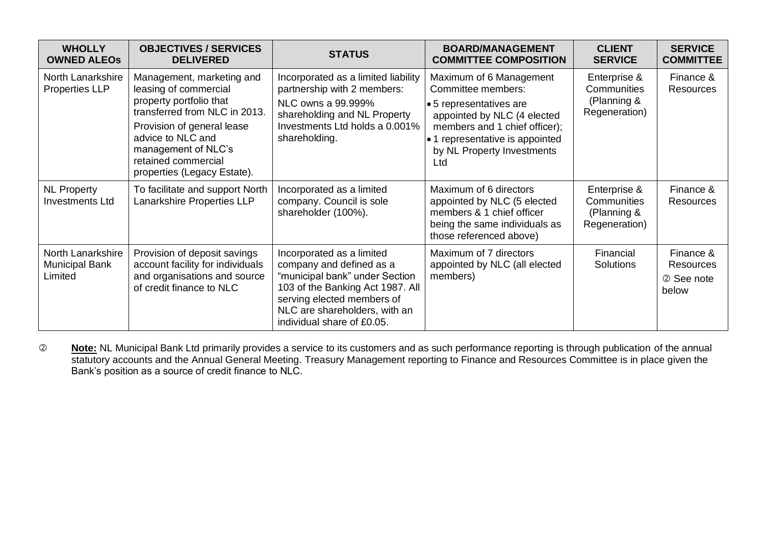| <b>WHOLLY</b><br><b>OWNED ALEOS</b>            | <b>OBJECTIVES / SERVICES</b><br><b>DELIVERED</b>                                                                                                                                                                                               | <b>STATUS</b>                                                                                                                                                                                                            | <b>BOARD/MANAGEMENT</b><br><b>COMMITTEE COMPOSITION</b>                                                                                                                                                         | <b>CLIENT</b><br><b>SERVICE</b>                                    | <b>SERVICE</b><br><b>COMMITTEE</b>                   |
|------------------------------------------------|------------------------------------------------------------------------------------------------------------------------------------------------------------------------------------------------------------------------------------------------|--------------------------------------------------------------------------------------------------------------------------------------------------------------------------------------------------------------------------|-----------------------------------------------------------------------------------------------------------------------------------------------------------------------------------------------------------------|--------------------------------------------------------------------|------------------------------------------------------|
| North Lanarkshire<br><b>Properties LLP</b>     | Management, marketing and<br>leasing of commercial<br>property portfolio that<br>transferred from NLC in 2013.<br>Provision of general lease<br>advice to NLC and<br>management of NLC's<br>retained commercial<br>properties (Legacy Estate). | Incorporated as a limited liability<br>partnership with 2 members:<br>NLC owns a 99.999%<br>shareholding and NL Property<br>Investments Ltd holds a 0.001%<br>shareholding.                                              | Maximum of 6 Management<br>Committee members:<br>•5 representatives are<br>appointed by NLC (4 elected<br>members and 1 chief officer);<br>• 1 representative is appointed<br>by NL Property Investments<br>Ltd | Enterprise &<br>Communities<br>(Planning &<br>Regeneration)        | Finance &<br><b>Resources</b>                        |
| <b>NL Property</b><br><b>Investments Ltd</b>   | To facilitate and support North<br>Lanarkshire Properties LLP                                                                                                                                                                                  | Incorporated as a limited<br>company. Council is sole<br>shareholder (100%).                                                                                                                                             | Maximum of 6 directors<br>appointed by NLC (5 elected<br>members & 1 chief officer<br>being the same individuals as<br>those referenced above)                                                                  | Enterprise &<br><b>Communities</b><br>(Planning &<br>Regeneration) | Finance &<br>Resources                               |
| North Lanarkshire<br>Municipal Bank<br>Limited | Provision of deposit savings<br>account facility for individuals<br>and organisations and source<br>of credit finance to NLC                                                                                                                   | Incorporated as a limited<br>company and defined as a<br>"municipal bank" under Section<br>103 of the Banking Act 1987. All<br>serving elected members of<br>NLC are shareholders, with an<br>individual share of £0.05. | Maximum of 7 directors<br>appointed by NLC (all elected<br>members)                                                                                                                                             | Financial<br><b>Solutions</b>                                      | Finance &<br><b>Resources</b><br>2 See note<br>below |

 **Note:** NL Municipal Bank Ltd primarily provides a service to its customers and as such performance reporting is through publication of the annual statutory accounts and the Annual General Meeting. Treasury Management reporting to Finance and Resources Committee is in place given the Bank's position as a source of credit finance to NLC.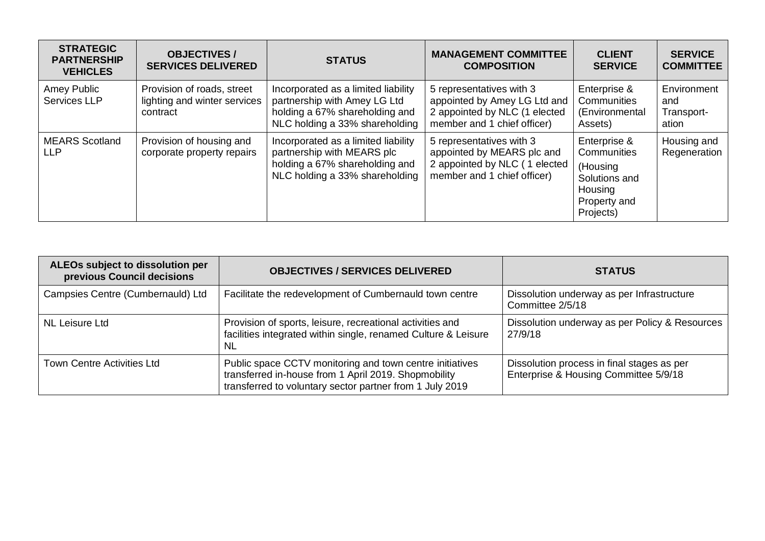| <b>STRATEGIC</b><br><b>PARTNERSHIP</b><br><b>VEHICLES</b> | <b>OBJECTIVES/</b><br><b>SERVICES DELIVERED</b>                        | <b>STATUS</b>                                                                                                                           | <b>MANAGEMENT COMMITTEE</b><br><b>COMPOSITION</b>                                                                        | <b>CLIENT</b><br><b>SERVICE</b>                                                                  | <b>SERVICE</b><br><b>COMMITTEE</b>        |
|-----------------------------------------------------------|------------------------------------------------------------------------|-----------------------------------------------------------------------------------------------------------------------------------------|--------------------------------------------------------------------------------------------------------------------------|--------------------------------------------------------------------------------------------------|-------------------------------------------|
| Amey Public<br>Services LLP                               | Provision of roads, street<br>lighting and winter services<br>contract | Incorporated as a limited liability<br>partnership with Amey LG Ltd<br>holding a 67% shareholding and<br>NLC holding a 33% shareholding | 5 representatives with 3<br>appointed by Amey LG Ltd and<br>2 appointed by NLC (1 elected<br>member and 1 chief officer) | Enterprise &<br>Communities<br>(Environmental<br>Assets)                                         | Environment<br>and<br>Transport-<br>ation |
| <b>MEARS</b> Scotland<br><b>LLP</b>                       | Provision of housing and<br>corporate property repairs                 | Incorporated as a limited liability<br>partnership with MEARS plc<br>holding a 67% shareholding and<br>NLC holding a 33% shareholding   | 5 representatives with 3<br>appointed by MEARS plc and<br>2 appointed by NLC (1 elected<br>member and 1 chief officer)   | Enterprise &<br>Communities<br>(Housing<br>Solutions and<br>Housing<br>Property and<br>Projects) | Housing and<br>Regeneration               |

| ALEOs subject to dissolution per<br>previous Council decisions | <b>OBJECTIVES / SERVICES DELIVERED</b>                                                                                                                                       | <b>STATUS</b>                                                                       |
|----------------------------------------------------------------|------------------------------------------------------------------------------------------------------------------------------------------------------------------------------|-------------------------------------------------------------------------------------|
| Campsies Centre (Cumbernauld) Ltd                              | Facilitate the redevelopment of Cumbernauld town centre                                                                                                                      | Dissolution underway as per Infrastructure<br>Committee 2/5/18                      |
| NL Leisure Ltd                                                 | Provision of sports, leisure, recreational activities and<br>facilities integrated within single, renamed Culture & Leisure<br><b>NL</b>                                     | Dissolution underway as per Policy & Resources<br>27/9/18                           |
| <b>Town Centre Activities Ltd</b>                              | Public space CCTV monitoring and town centre initiatives<br>transferred in-house from 1 April 2019. Shopmobility<br>transferred to voluntary sector partner from 1 July 2019 | Dissolution process in final stages as per<br>Enterprise & Housing Committee 5/9/18 |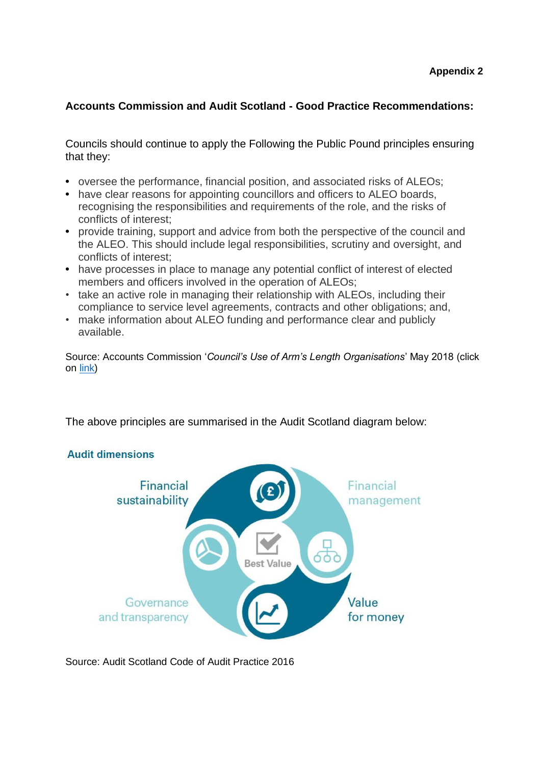# **Accounts Commission and Audit Scotland - Good Practice Recommendations:**

Councils should continue to apply the Following the Public Pound principles ensuring that they:

- **•** oversee the performance, financial position, and associated risks of ALEOs;
- **•** have clear reasons for appointing councillors and officers to ALEO boards, recognising the responsibilities and requirements of the role, and the risks of conflicts of interest;
- **•** provide training, support and advice from both the perspective of the council and the ALEO. This should include legal responsibilities, scrutiny and oversight, and conflicts of interest;
- **•** have processes in place to manage any potential conflict of interest of elected members and officers involved in the operation of ALEOs;
- take an active role in managing their relationship with ALEOs, including their compliance to service level agreements, contracts and other obligations; and,
- make information about ALEO funding and performance clear and publicly available.

Source: Accounts Commission '*Council's Use of Arm's Length Organisations*' May 2018 (click on [link\)](https://www.audit-scotland.gov.uk/report/councils-use-of-arms-length-organisations)

The above principles are summarised in the Audit Scotland diagram below:

# **Audit dimensions**



Source: Audit Scotland Code of Audit Practice 2016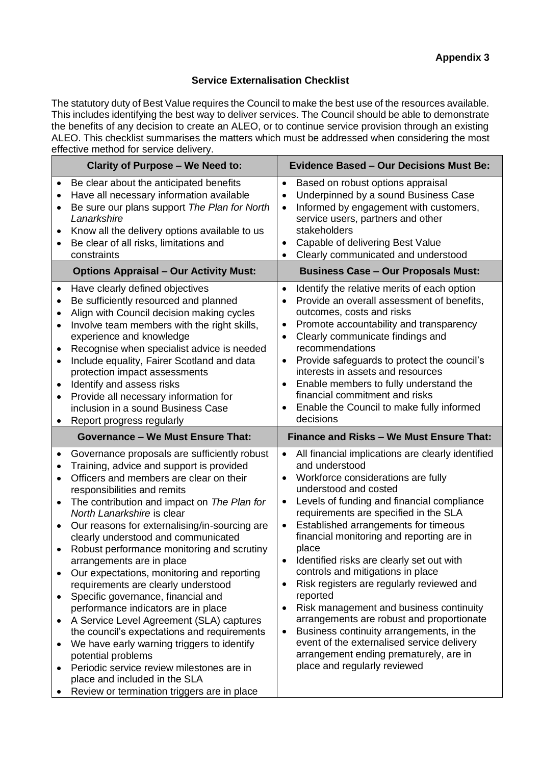### **Service Externalisation Checklist**

The statutory duty of Best Value requires the Council to make the best use of the resources available. This includes identifying the best way to deliver services. The Council should be able to demonstrate the benefits of any decision to create an ALEO, or to continue service provision through an existing ALEO. This checklist summarises the matters which must be addressed when considering the most effective method for service delivery.

| <b>Clarity of Purpose - We Need to:</b>                                                                                                                                                                                                                                                                                                                                                                                                                                                                                                                                                                                                                                                                                                                                                                                                                                                                                                                                                                                 | <b>Evidence Based - Our Decisions Must Be:</b>                                                                                                                                                                                                                                                                                                                                                                                                                                                                                                                                                                                                                                                                                                                                                       |
|-------------------------------------------------------------------------------------------------------------------------------------------------------------------------------------------------------------------------------------------------------------------------------------------------------------------------------------------------------------------------------------------------------------------------------------------------------------------------------------------------------------------------------------------------------------------------------------------------------------------------------------------------------------------------------------------------------------------------------------------------------------------------------------------------------------------------------------------------------------------------------------------------------------------------------------------------------------------------------------------------------------------------|------------------------------------------------------------------------------------------------------------------------------------------------------------------------------------------------------------------------------------------------------------------------------------------------------------------------------------------------------------------------------------------------------------------------------------------------------------------------------------------------------------------------------------------------------------------------------------------------------------------------------------------------------------------------------------------------------------------------------------------------------------------------------------------------------|
| Be clear about the anticipated benefits<br>$\bullet$<br>Have all necessary information available<br>$\bullet$<br>Be sure our plans support The Plan for North<br>$\bullet$<br>Lanarkshire<br>Know all the delivery options available to us<br>$\bullet$<br>Be clear of all risks, limitations and<br>$\bullet$<br>constraints                                                                                                                                                                                                                                                                                                                                                                                                                                                                                                                                                                                                                                                                                           | Based on robust options appraisal<br>$\bullet$<br>Underpinned by a sound Business Case<br>$\bullet$<br>Informed by engagement with customers,<br>$\bullet$<br>service users, partners and other<br>stakeholders<br>Capable of delivering Best Value<br>Clearly communicated and understood<br>$\bullet$                                                                                                                                                                                                                                                                                                                                                                                                                                                                                              |
| <b>Options Appraisal - Our Activity Must:</b>                                                                                                                                                                                                                                                                                                                                                                                                                                                                                                                                                                                                                                                                                                                                                                                                                                                                                                                                                                           | <b>Business Case - Our Proposals Must:</b>                                                                                                                                                                                                                                                                                                                                                                                                                                                                                                                                                                                                                                                                                                                                                           |
| Have clearly defined objectives<br>$\bullet$<br>Be sufficiently resourced and planned<br>$\bullet$<br>Align with Council decision making cycles<br>٠<br>Involve team members with the right skills,<br>$\bullet$<br>experience and knowledge<br>Recognise when specialist advice is needed<br>$\bullet$<br>Include equality, Fairer Scotland and data<br>$\bullet$<br>protection impact assessments<br>Identify and assess risks<br>$\bullet$<br>Provide all necessary information for<br>$\bullet$<br>inclusion in a sound Business Case<br>Report progress regularly<br>٠                                                                                                                                                                                                                                                                                                                                                                                                                                             | Identify the relative merits of each option<br>$\bullet$<br>Provide an overall assessment of benefits,<br>outcomes, costs and risks<br>Promote accountability and transparency<br>٠<br>Clearly communicate findings and<br>recommendations<br>Provide safeguards to protect the council's<br>$\bullet$<br>interests in assets and resources<br>Enable members to fully understand the<br>financial commitment and risks<br>Enable the Council to make fully informed<br>decisions                                                                                                                                                                                                                                                                                                                    |
| <b>Governance - We Must Ensure That:</b>                                                                                                                                                                                                                                                                                                                                                                                                                                                                                                                                                                                                                                                                                                                                                                                                                                                                                                                                                                                | Finance and Risks - We Must Ensure That:                                                                                                                                                                                                                                                                                                                                                                                                                                                                                                                                                                                                                                                                                                                                                             |
| Governance proposals are sufficiently robust<br>$\bullet$<br>Training, advice and support is provided<br>$\bullet$<br>Officers and members are clear on their<br>$\bullet$<br>responsibilities and remits<br>The contribution and impact on The Plan for<br>$\bullet$<br>North Lanarkshire is clear<br>Our reasons for externalising/in-sourcing are<br>$\bullet$<br>clearly understood and communicated<br>Robust performance monitoring and scrutiny<br>$\bullet$<br>arrangements are in place<br>Our expectations, monitoring and reporting<br>$\bullet$<br>requirements are clearly understood<br>Specific governance, financial and<br>$\bullet$<br>performance indicators are in place<br>A Service Level Agreement (SLA) captures<br>$\bullet$<br>the council's expectations and requirements<br>We have early warning triggers to identify<br>٠<br>potential problems<br>Periodic service review milestones are in<br>$\bullet$<br>place and included in the SLA<br>Review or termination triggers are in place | All financial implications are clearly identified<br>$\bullet$<br>and understood<br>Workforce considerations are fully<br>$\bullet$<br>understood and costed<br>Levels of funding and financial compliance<br>$\bullet$<br>requirements are specified in the SLA<br>Established arrangements for timeous<br>$\bullet$<br>financial monitoring and reporting are in<br>place<br>Identified risks are clearly set out with<br>controls and mitigations in place<br>Risk registers are regularly reviewed and<br>reported<br>Risk management and business continuity<br>٠<br>arrangements are robust and proportionate<br>Business continuity arrangements, in the<br>$\bullet$<br>event of the externalised service delivery<br>arrangement ending prematurely, are in<br>place and regularly reviewed |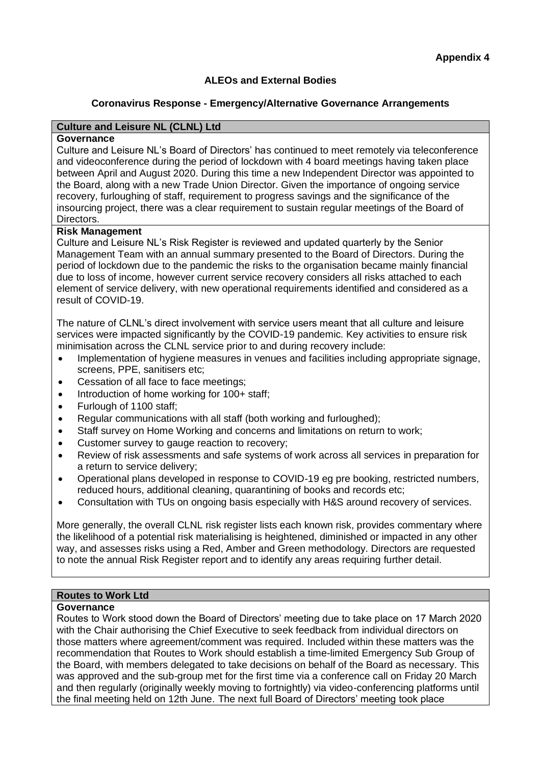# **ALEOs and External Bodies**

### **Coronavirus Response - Emergency/Alternative Governance Arrangements**

# **Culture and Leisure NL (CLNL) Ltd**

#### **Governance**

Culture and Leisure NL's Board of Directors' has continued to meet remotely via teleconference and videoconference during the period of lockdown with 4 board meetings having taken place between April and August 2020. During this time a new Independent Director was appointed to the Board, along with a new Trade Union Director. Given the importance of ongoing service recovery, furloughing of staff, requirement to progress savings and the significance of the insourcing project, there was a clear requirement to sustain regular meetings of the Board of Directors.

### **Risk Management**

Culture and Leisure NL's Risk Register is reviewed and updated quarterly by the Senior Management Team with an annual summary presented to the Board of Directors. During the period of lockdown due to the pandemic the risks to the organisation became mainly financial due to loss of income, however current service recovery considers all risks attached to each element of service delivery, with new operational requirements identified and considered as a result of COVID-19.

The nature of CLNL's direct involvement with service users meant that all culture and leisure services were impacted significantly by the COVID-19 pandemic. Key activities to ensure risk minimisation across the CLNL service prior to and during recovery include:

- Implementation of hygiene measures in venues and facilities including appropriate signage, screens, PPE, sanitisers etc;
- Cessation of all face to face meetings;
- Introduction of home working for 100+ staff;
- Furlough of 1100 staff;
- Regular communications with all staff (both working and furloughed);
- Staff survey on Home Working and concerns and limitations on return to work;
- Customer survey to gauge reaction to recovery;
- Review of risk assessments and safe systems of work across all services in preparation for a return to service delivery;
- Operational plans developed in response to COVID-19 eg pre booking, restricted numbers, reduced hours, additional cleaning, quarantining of books and records etc;
- Consultation with TUs on ongoing basis especially with H&S around recovery of services.

More generally, the overall CLNL risk register lists each known risk, provides commentary where the likelihood of a potential risk materialising is heightened, diminished or impacted in any other way, and assesses risks using a Red, Amber and Green methodology. Directors are requested to note the annual Risk Register report and to identify any areas requiring further detail.

#### **Routes to Work Ltd**

#### **Governance**

Routes to Work stood down the Board of Directors' meeting due to take place on 17 March 2020 with the Chair authorising the Chief Executive to seek feedback from individual directors on those matters where agreement/comment was required. Included within these matters was the recommendation that Routes to Work should establish a time-limited Emergency Sub Group of the Board, with members delegated to take decisions on behalf of the Board as necessary. This was approved and the sub-group met for the first time via a conference call on Friday 20 March and then regularly (originally weekly moving to fortnightly) via video-conferencing platforms until the final meeting held on 12th June. The next full Board of Directors' meeting took place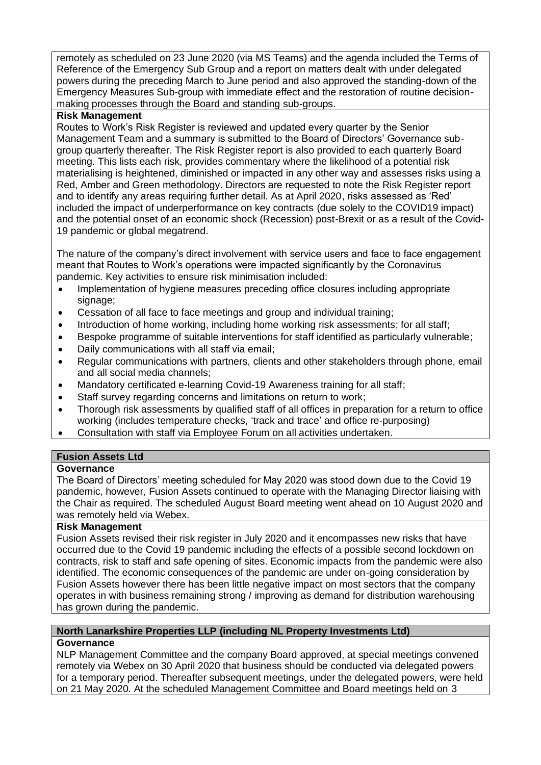remotely as scheduled on 23 June 2020 (via MS Teams) and the agenda included the Terms of Reference of the Emergency Sub Group and a report on matters dealt with under delegated powers during the preceding March to June period and also approved the standing-down of the Emergency Measures Sub-group with immediate effect and the restoration of routine decisionmaking processes through the Board and standing sub-groups.

### **Risk Management**

Routes to Work's Risk Register is reviewed and updated every quarter by the Senior Management Team and a summary is submitted to the Board of Directors' Governance subgroup quarterly thereafter. The Risk Register report is also provided to each quarterly Board meeting. This lists each risk, provides commentary where the likelihood of a potential risk materialising is heightened, diminished or impacted in any other way and assesses risks using a Red, Amber and Green methodology. Directors are requested to note the Risk Register report and to identify any areas requiring further detail. As at April 2020, risks assessed as 'Red' included the impact of underperformance on key contracts (due solely to the COVID19 impact) and the potential onset of an economic shock (Recession) post-Brexit or as a result of the Covid-19 pandemic or global megatrend.

The nature of the company's direct involvement with service users and face to face engagement meant that Routes to Work's operations were impacted significantly by the Coronavirus pandemic. Key activities to ensure risk minimisation included:

- Implementation of hygiene measures preceding office closures including appropriate signage;
- Cessation of all face to face meetings and group and individual training;
- Introduction of home working, including home working risk assessments; for all staff;
- Bespoke programme of suitable interventions for staff identified as particularly vulnerable;
- Daily communications with all staff via email;
- Regular communications with partners, clients and other stakeholders through phone, email and all social media channels;
- Mandatory certificated e-learning Covid-19 Awareness training for all staff;
- Staff survey regarding concerns and limitations on return to work;
- Thorough risk assessments by qualified staff of all offices in preparation for a return to office working (includes temperature checks, 'track and trace' and office re-purposing)
- Consultation with staff via Employee Forum on all activities undertaken.

# **Fusion Assets Ltd**

### **Governance**

The Board of Directors' meeting scheduled for May 2020 was stood down due to the Covid 19 pandemic, however, Fusion Assets continued to operate with the Managing Director liaising with the Chair as required. The scheduled August Board meeting went ahead on 10 August 2020 and was remotely held via Webex.

### **Risk Management**

Fusion Assets revised their risk register in July 2020 and it encompasses new risks that have occurred due to the Covid 19 pandemic including the effects of a possible second lockdown on contracts, risk to staff and safe opening of sites. Economic impacts from the pandemic were also identified. The economic consequences of the pandemic are under on-going consideration by Fusion Assets however there has been little negative impact on most sectors that the company operates in with business remaining strong / improving as demand for distribution warehousing has grown during the pandemic.

# **North Lanarkshire Properties LLP (including NL Property Investments Ltd)**

# **Governance**

NLP Management Committee and the company Board approved, at special meetings convened remotely via Webex on 30 April 2020 that business should be conducted via delegated powers for a temporary period. Thereafter subsequent meetings, under the delegated powers, were held on 21 May 2020. At the scheduled Management Committee and Board meetings held on 3